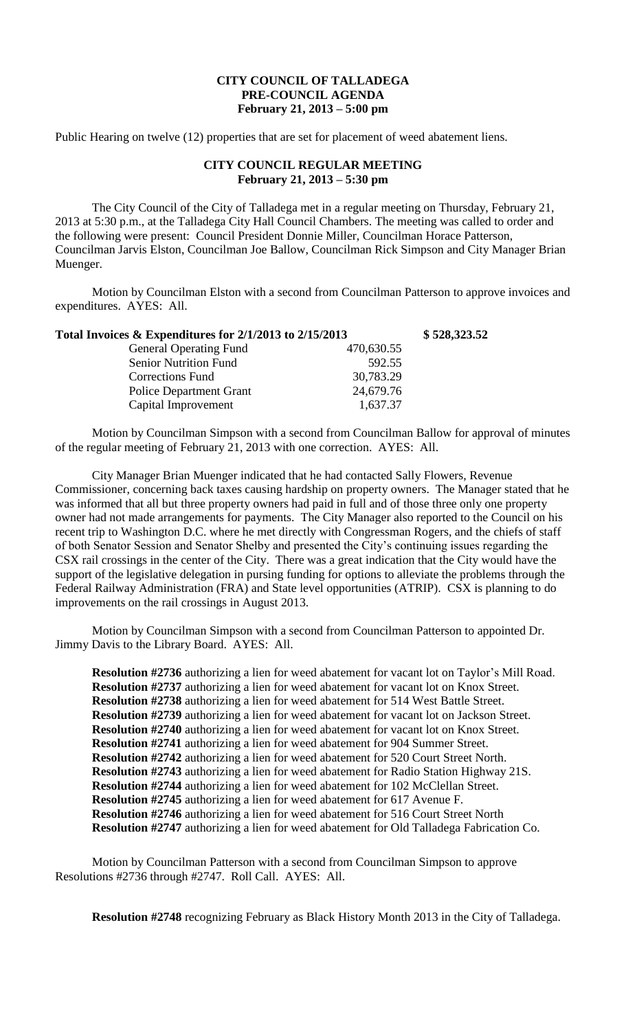## **CITY COUNCIL OF TALLADEGA PRE-COUNCIL AGENDA February 21, 2013 – 5:00 pm**

Public Hearing on twelve (12) properties that are set for placement of weed abatement liens.

## **CITY COUNCIL REGULAR MEETING February 21, 2013 – 5:30 pm**

The City Council of the City of Talladega met in a regular meeting on Thursday, February 21, 2013 at 5:30 p.m., at the Talladega City Hall Council Chambers. The meeting was called to order and the following were present: Council President Donnie Miller, Councilman Horace Patterson, Councilman Jarvis Elston, Councilman Joe Ballow, Councilman Rick Simpson and City Manager Brian Muenger.

Motion by Councilman Elston with a second from Councilman Patterson to approve invoices and expenditures. AYES: All.

| Total Invoices & Expenditures for 2/1/2013 to 2/15/2013 |            | \$528,323.52 |
|---------------------------------------------------------|------------|--------------|
| <b>General Operating Fund</b>                           | 470,630.55 |              |
| <b>Senior Nutrition Fund</b>                            | 592.55     |              |
| <b>Corrections Fund</b>                                 | 30,783.29  |              |
| <b>Police Department Grant</b>                          | 24,679.76  |              |
| Capital Improvement                                     | 1,637.37   |              |

Motion by Councilman Simpson with a second from Councilman Ballow for approval of minutes of the regular meeting of February 21, 2013 with one correction. AYES: All.

City Manager Brian Muenger indicated that he had contacted Sally Flowers, Revenue Commissioner, concerning back taxes causing hardship on property owners. The Manager stated that he was informed that all but three property owners had paid in full and of those three only one property owner had not made arrangements for payments. The City Manager also reported to the Council on his recent trip to Washington D.C. where he met directly with Congressman Rogers, and the chiefs of staff of both Senator Session and Senator Shelby and presented the City's continuing issues regarding the CSX rail crossings in the center of the City. There was a great indication that the City would have the support of the legislative delegation in pursing funding for options to alleviate the problems through the Federal Railway Administration (FRA) and State level opportunities (ATRIP). CSX is planning to do improvements on the rail crossings in August 2013.

Motion by Councilman Simpson with a second from Councilman Patterson to appointed Dr. Jimmy Davis to the Library Board. AYES: All.

**Resolution #2736** authorizing a lien for weed abatement for vacant lot on Taylor's Mill Road. **Resolution #2737** authorizing a lien for weed abatement for vacant lot on Knox Street. **Resolution #2738** authorizing a lien for weed abatement for 514 West Battle Street. **Resolution #2739** authorizing a lien for weed abatement for vacant lot on Jackson Street. **Resolution #2740** authorizing a lien for weed abatement for vacant lot on Knox Street. **Resolution #2741** authorizing a lien for weed abatement for 904 Summer Street. **Resolution #2742** authorizing a lien for weed abatement for 520 Court Street North. **Resolution #2743** authorizing a lien for weed abatement for Radio Station Highway 21S. **Resolution #2744** authorizing a lien for weed abatement for 102 McClellan Street. **Resolution #2745** authorizing a lien for weed abatement for 617 Avenue F. **Resolution #2746** authorizing a lien for weed abatement for 516 Court Street North **Resolution #2747** authorizing a lien for weed abatement for Old Talladega Fabrication Co.

Motion by Councilman Patterson with a second from Councilman Simpson to approve Resolutions #2736 through #2747. Roll Call. AYES: All.

**Resolution #2748** recognizing February as Black History Month 2013 in the City of Talladega.